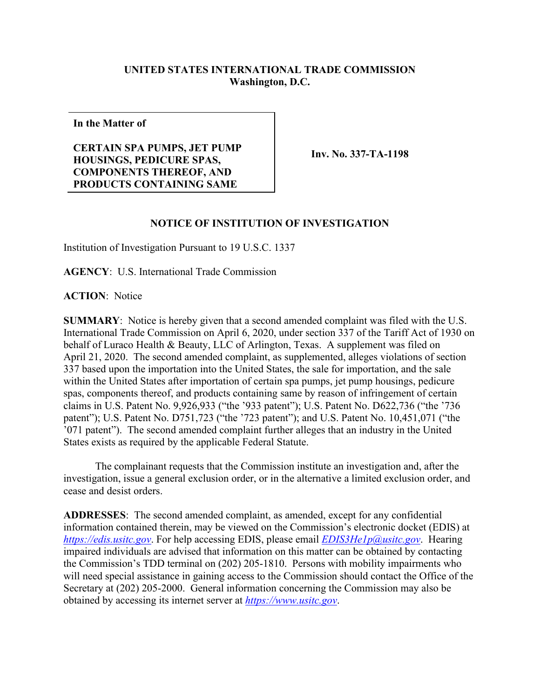## **UNITED STATES INTERNATIONAL TRADE COMMISSION Washington, D.C.**

**In the Matter of**

## **CERTAIN SPA PUMPS, JET PUMP HOUSINGS, PEDICURE SPAS, COMPONENTS THEREOF, AND PRODUCTS CONTAINING SAME**

**Inv. No. 337-TA-1198**

## **NOTICE OF INSTITUTION OF INVESTIGATION**

Institution of Investigation Pursuant to 19 U.S.C. 1337

**AGENCY**: U.S. International Trade Commission

**ACTION**: Notice

**SUMMARY**: Notice is hereby given that a second amended complaint was filed with the U.S. International Trade Commission on April 6, 2020, under section 337 of the Tariff Act of 1930 on behalf of Luraco Health & Beauty, LLC of Arlington, Texas. A supplement was filed on April 21, 2020. The second amended complaint, as supplemented, alleges violations of section 337 based upon the importation into the United States, the sale for importation, and the sale within the United States after importation of certain spa pumps, jet pump housings, pedicure spas, components thereof, and products containing same by reason of infringement of certain claims in U.S. Patent No. 9,926,933 ("the '933 patent"); U.S. Patent No. D622,736 ("the '736 patent"); U.S. Patent No. D751,723 ("the '723 patent"); and U.S. Patent No. 10,451,071 ("the '071 patent"). The second amended complaint further alleges that an industry in the United States exists as required by the applicable Federal Statute.

The complainant requests that the Commission institute an investigation and, after the investigation, issue a general exclusion order, or in the alternative a limited exclusion order, and cease and desist orders.

**ADDRESSES**: The second amended complaint, as amended, except for any confidential information contained therein, may be viewed on the Commission's electronic docket (EDIS) at *[https://edis.usitc.gov](https://edis.usitc.gov/)*. For help accessing EDIS, please email *[EDIS3He1p@usitc.gov](mailto:EDIS3He1p@usitc.gov)*. Hearing impaired individuals are advised that information on this matter can be obtained by contacting the Commission's TDD terminal on (202) 205-1810. Persons with mobility impairments who will need special assistance in gaining access to the Commission should contact the Office of the Secretary at (202) 205-2000. General information concerning the Commission may also be obtained by accessing its internet server at *[https://www.usitc.gov](https://www.usitc.gov/)*.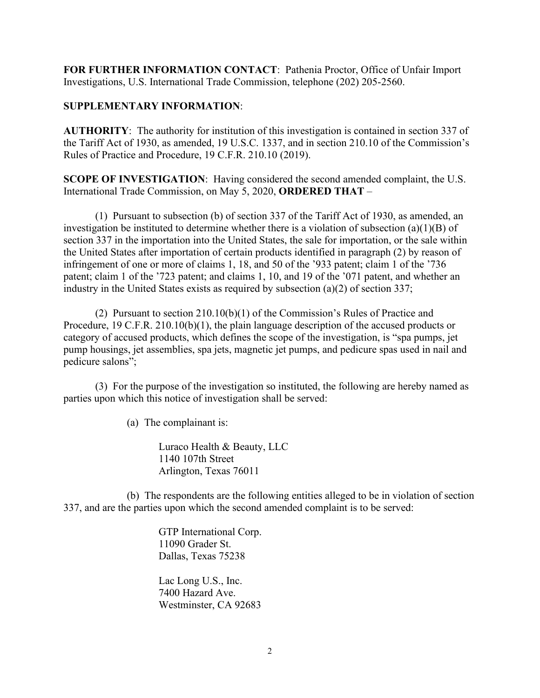**FOR FURTHER INFORMATION CONTACT**: Pathenia Proctor, Office of Unfair Import Investigations, U.S. International Trade Commission, telephone (202) 205-2560.

## **SUPPLEMENTARY INFORMATION**:

**AUTHORITY**: The authority for institution of this investigation is contained in section 337 of the Tariff Act of 1930, as amended, 19 U.S.C. 1337, and in section 210.10 of the Commission's Rules of Practice and Procedure, 19 C.F.R. 210.10 (2019).

**SCOPE OF INVESTIGATION**: Having considered the second amended complaint, the U.S. International Trade Commission, on May 5, 2020, **ORDERED THAT** –

(1) Pursuant to subsection (b) of section 337 of the Tariff Act of 1930, as amended, an investigation be instituted to determine whether there is a violation of subsection (a)(1)(B) of section 337 in the importation into the United States, the sale for importation, or the sale within the United States after importation of certain products identified in paragraph (2) by reason of infringement of one or more of claims 1, 18, and 50 of the '933 patent; claim 1 of the '736 patent; claim 1 of the '723 patent; and claims 1, 10, and 19 of the '071 patent, and whether an industry in the United States exists as required by subsection (a)(2) of section 337;

(2) Pursuant to section 210.10(b)(1) of the Commission's Rules of Practice and Procedure, 19 C.F.R. 210.10(b)(1), the plain language description of the accused products or category of accused products, which defines the scope of the investigation, is "spa pumps, jet pump housings, jet assemblies, spa jets, magnetic jet pumps, and pedicure spas used in nail and pedicure salons";

(3) For the purpose of the investigation so instituted, the following are hereby named as parties upon which this notice of investigation shall be served:

(a) The complainant is:

Luraco Health & Beauty, LLC 1140 107th Street Arlington, Texas 76011

(b) The respondents are the following entities alleged to be in violation of section 337, and are the parties upon which the second amended complaint is to be served:

> GTP International Corp. 11090 Grader St. Dallas, Texas 75238

> Lac Long U.S., Inc. 7400 Hazard Ave. Westminster, CA 92683